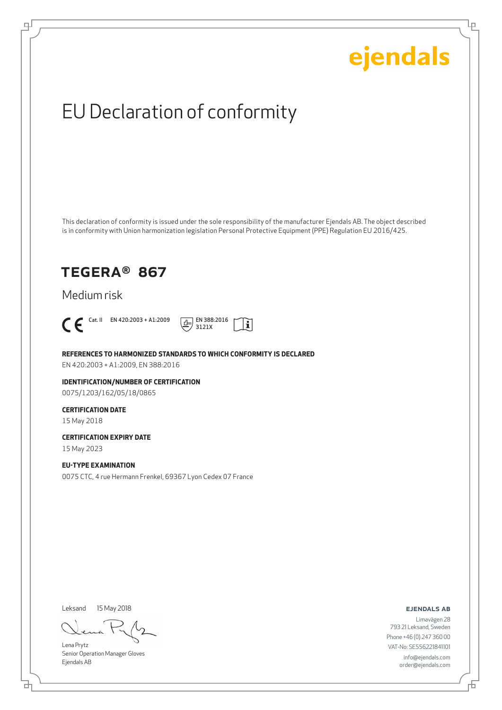Ļμ

## EU Declaration of conformity

This declaration of conformity is issued under the sole responsibility of the manufacturer Ejendals AB. The object described is in conformity with Union harmonization legislation Personal Protective Equipment (PPE) Regulation EU 2016/425.

### TEGERA® 867

Medium risk



டி



**REFERENCES TO HARMONIZED STANDARDS TO WHICH CONFORMITY IS DECLARED**

EN 420:2003 + A1:2009, EN 388:2016

**IDENTIFICATION/NUMBER OF CERTIFICATION** 0075/1203/162/05/18/0865

#### **CERTIFICATION DATE**

15 May 2018

**CERTIFICATION EXPIRY DATE**

15 May 2023

#### **EU-TYPE EXAMINATION**

0075 CTC, 4 rue Hermann Frenkel, 69367 Lyon Cedex 07 France

Leksand

15 May 2018

Lena Prytz Senior Operation Manager Gloves Ejendals AB

ejendals ab

Limavägen 28 793 21 Leksand, Sweden Phone +46 (0) 247 360 00 VAT-No: SE556221841101 info@ejendals.com order@ejendals.com

브

舌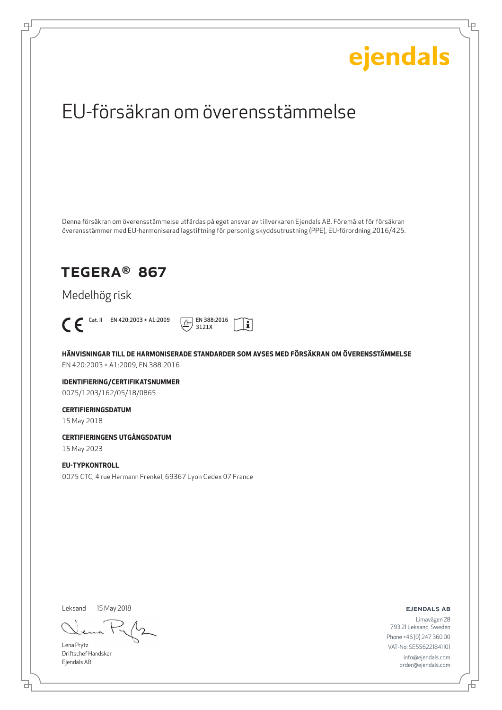Ļμ

## EU-försäkran om överensstämmelse

Denna försäkran om överensstämmelse utfärdas på eget ansvar av tillverkaren Ejendals AB. Föremålet för försäkran överensstämmer med EU-harmoniserad lagstiftning för personlig skyddsutrustning (PPE), EU-förordning 2016/425.

### TEGERA® 867

Medelhög risk



டி



**HÄNVISNINGAR TILL DE HARMONISERADE STANDARDER SOM AVSES MED FÖRSÄKRAN OM ÖVERENSSTÄMMELSE** EN 420:2003 + A1:2009, EN 388:2016

**IDENTIFIERING/CERTIFIKATSNUMMER** 0075/1203/162/05/18/0865

#### **CERTIFIERINGSDATUM**

15 May 2018

#### **CERTIFIERINGENS UTGÅNGSDATUM**

15 May 2023

#### **EU-TYPKONTROLL**

0075 CTC, 4 rue Hermann Frenkel, 69367 Lyon Cedex 07 France

Leksand

15 May 2018

Lena Prytz Driftschef Handskar Ejendals AB

ejendals ab

Limavägen 28 793 21 Leksand, Sweden Phone +46 (0) 247 360 00 VAT-No: SE556221841101 info@ejendals.com order@ejendals.com

舌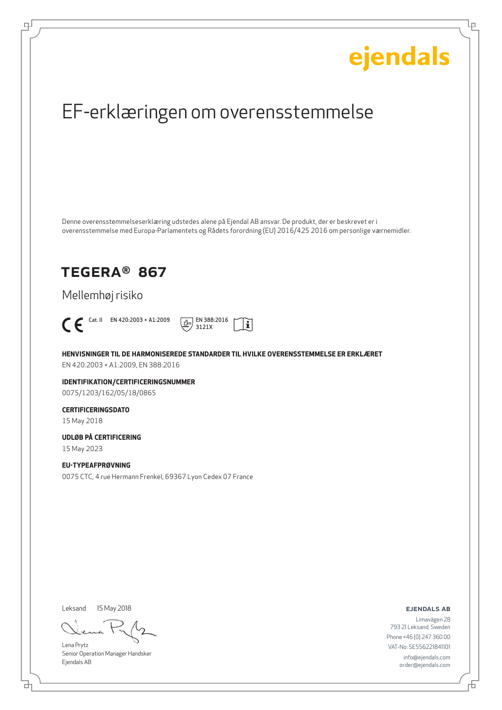Ļμ

## EF-erklæringen om overensstemmelse

Denne overensstemmelseserklæring udstedes alene på Ejendal AB ansvar. De produkt, der er beskrevet er i overensstemmelse med Europa-Parlamentets og Rådets forordning (EU) 2016/425 2016 om personlige værnemidler.

### TEGERA® 867

Mellemhøj risiko



டி



**HENVISNINGER TIL DE HARMONISEREDE STANDARDER TIL HVILKE OVERENSSTEMMELSE ER ERKLÆRET** EN 420:2003 + A1:2009, EN 388:2016

**IDENTIFIKATION/CERTIFICERINGSNUMMER** 0075/1203/162/05/18/0865

#### **CERTIFICERINGSDATO**

15 May 2018

#### **UDLØB PÅ CERTIFICERING**

15 May 2023

#### **EU-TYPEAFPRØVNING**

0075 CTC, 4 rue Hermann Frenkel, 69367 Lyon Cedex 07 France

Leksand

15 May 2018

Lena Prytz Senior Operation Manager Handsker Ejendals AB

ejendals ab

브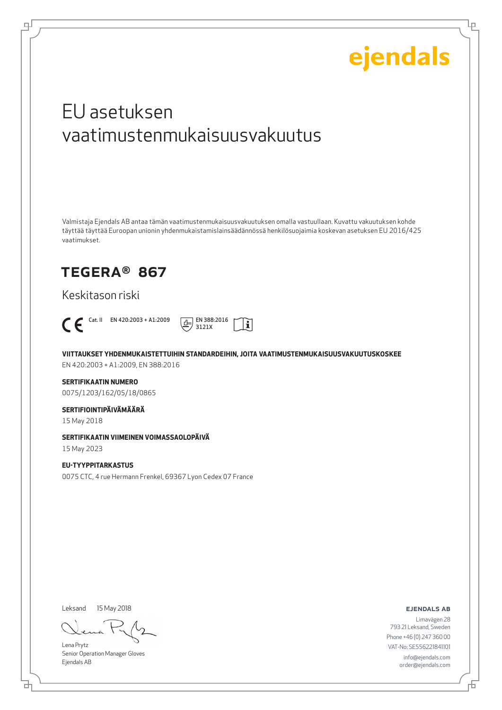Lμ

## EU asetuksen vaatimustenmukaisuusvakuutus

Valmistaja Ejendals AB antaa tämän vaatimustenmukaisuusvakuutuksen omalla vastuullaan. Kuvattu vakuutuksen kohde täyttää täyttää Euroopan unionin yhdenmukaistamislainsäädännössä henkilösuojaimia koskevan asetuksen EU 2016/425 vaatimukset.

### TEGERA® 867

Keskitason riski



щĪ



**VIITTAUKSET YHDENMUKAISTETTUIHIN STANDARDEIHIN, JOITA VAATIMUSTENMUKAISUUSVAKUUTUSKOSKEE**

EN 420:2003 + A1:2009, EN 388:2016

#### **SERTIFIKAATIN NUMERO**

0075/1203/162/05/18/0865

#### **SERTIFIOINTIPÄIVÄMÄÄRÄ**

15 May 2018

#### **SERTIFIKAATIN VIIMEINEN VOIMASSAOLOPÄIVÄ**

15 May 2023

#### **EU-TYYPPITARKASTUS**

0075 CTC, 4 rue Hermann Frenkel, 69367 Lyon Cedex 07 France

Leksand

15 May 2018

Lena Prytz Senior Operation Manager Gloves Ejendals AB

ejendals ab

₫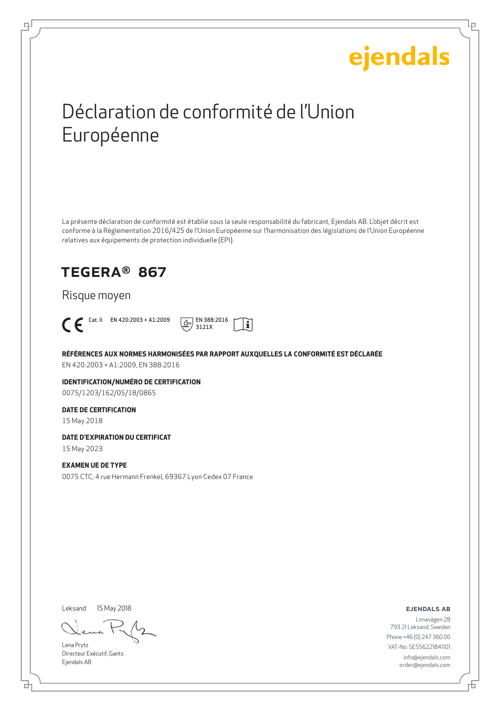Ļμ

## Déclaration de conformité de l'Union Européenne

La présente déclaration de conformité est établie sous la seule responsabilité du fabricant, Ejendals AB. L'objet décrit est conforme à la Règlementation 2016/425 de l'Union Européenne sur l'harmonisation des législations de l'Union Européenne relatives aux équipements de protection individuelle (EPI).

### TEGERA® 867

#### Risque moyen



டி



**RÉFÉRENCES AUX NORMES HARMONISÉES PAR RAPPORT AUXQUELLES LA CONFORMITÉ EST DÉCLARÉE** EN 420:2003 + A1:2009, EN 388:2016

**IDENTIFICATION/NUMÉRO DE CERTIFICATION** 0075/1203/162/05/18/0865

#### **DATE DE CERTIFICATION**

15 May 2018

#### **DATE D'EXPIRATION DU CERTIFICAT**

15 May 2023

#### **EXAMEN UE DE TYPE**

0075 CTC, 4 rue Hermann Frenkel, 69367 Lyon Cedex 07 France

Leksand 15 May 2018

Lena Prytz Directeur Exécutif, Gants Ejendals AB

ejendals ab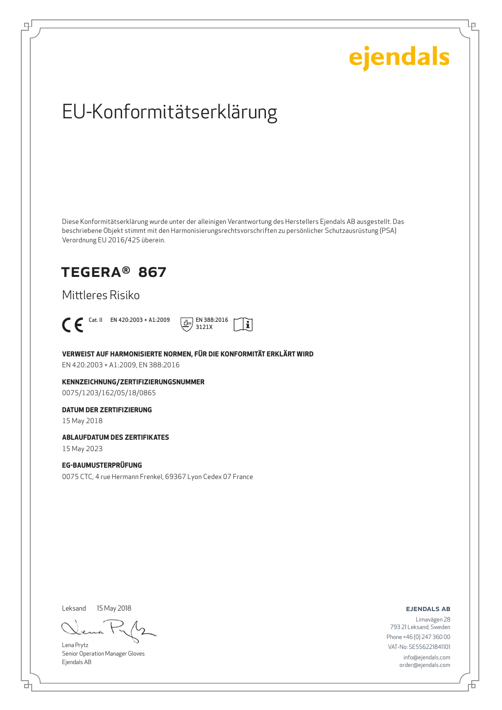Ļμ

## EU-Konformitätserklärung

Diese Konformitätserklärung wurde unter der alleinigen Verantwortung des Herstellers Ejendals AB ausgestellt. Das beschriebene Objekt stimmt mit den Harmonisierungsrechtsvorschriften zu persönlicher Schutzausrüstung (PSA) Verordnung EU 2016/425 überein.

### TEGERA® 867

Mittleres Risiko



டி



**VERWEIST AUF HARMONISIERTE NORMEN, FÜR DIE KONFORMITÄT ERKLÄRT WIRD**

EN 420:2003 + A1:2009, EN 388:2016

**KENNZEICHNUNG/ZERTIFIZIERUNGSNUMMER** 0075/1203/162/05/18/0865

#### **DATUM DER ZERTIFIZIERUNG**

15 May 2018

#### **ABLAUFDATUM DES ZERTIFIKATES**

15 May 2023

#### **EG-BAUMUSTERPRÜFUNG**

0075 CTC, 4 rue Hermann Frenkel, 69367 Lyon Cedex 07 France

Leksand

15 May 2018

Lena Prytz Senior Operation Manager Gloves Ejendals AB

ejendals ab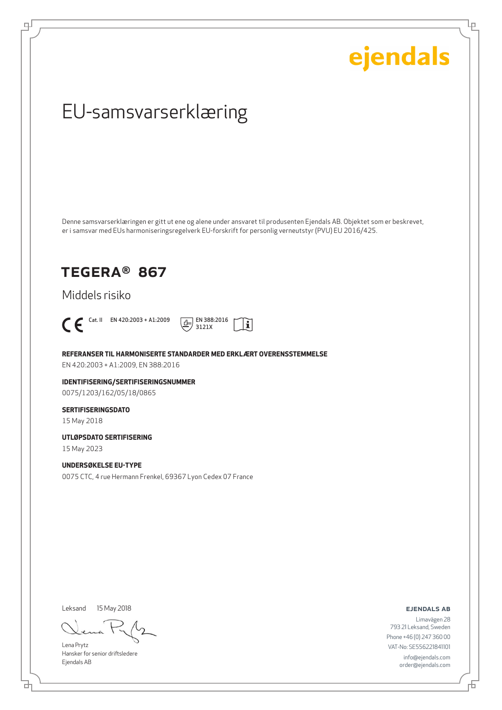Ļμ

## EU-samsvarserklæring

Denne samsvarserklæringen er gitt ut ene og alene under ansvaret til produsenten Ejendals AB. Objektet som er beskrevet, er i samsvar med EUs harmoniseringsregelverk EU-forskrift for personlig verneutstyr (PVU) EU 2016/425.

### TEGERA® 867

Middels risiko



டி



**REFERANSER TIL HARMONISERTE STANDARDER MED ERKLÆRT OVERENSSTEMMELSE**

EN 420:2003 + A1:2009, EN 388:2016

**IDENTIFISERING/SERTIFISERINGSNUMMER** 0075/1203/162/05/18/0865

#### **SERTIFISERINGSDATO**

15 May 2018

**UTLØPSDATO SERTIFISERING**

15 May 2023

#### **UNDERSØKELSE EU-TYPE**

0075 CTC, 4 rue Hermann Frenkel, 69367 Lyon Cedex 07 France

Leksand

15 May 2018

Lena Prytz Hansker for senior driftsledere Ejendals AB

ejendals ab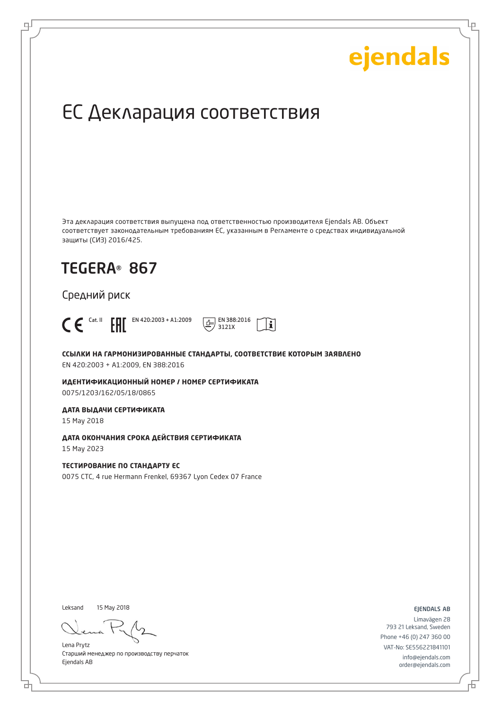Ļμ

## ЕС Декларация соответствия

Эта декларация соответствия выпущена под ответственностью производителя Ejendals AB. Объект соответствует законодательным требованиям ЕС, указанным в Регламенте о средствах индивидуальной защиты (СИЗ) 2016/425.

## TEGERA® 867

Средний риск



டி



**ССЫЛКИ НА ГАРМОНИЗИРОВАННЫЕ СТАНДАРТЫ, СООТВЕТСТВИЕ КОТОРЫМ ЗАЯВЛЕНО** EN 420:2003 + A1:2009, EN 388:2016

**ИДЕНТИФИКАЦИОННЫЙ НОМЕР / НОМЕР СЕРТИФИКАТА** 0075/1203/162/05/18/0865

**ДАТА ВЫДАЧИ СЕРТИФИКАТА**

15 May 2018

**ДАТА ОКОНЧАНИЯ СРОКА ДЕЙСТВИЯ СЕРТИФИКАТА**

15 May 2023

**ТЕСТИРОВАНИЕ ПО СТАНДАРТУ ЕС** 0075 CTC, 4 rue Hermann Frenkel, 69367 Lyon Cedex 07 France

Leksand 15 May 2018

Lena Prytz Старший менеджер по производству перчаток Ejendals AB

ejendals ab

Limavägen 28 793 21 Leksand, Sweden Phone +46 (0) 247 360 00 VAT-No: SE556221841101 info@ejendals.com order@ejendals.com

Đ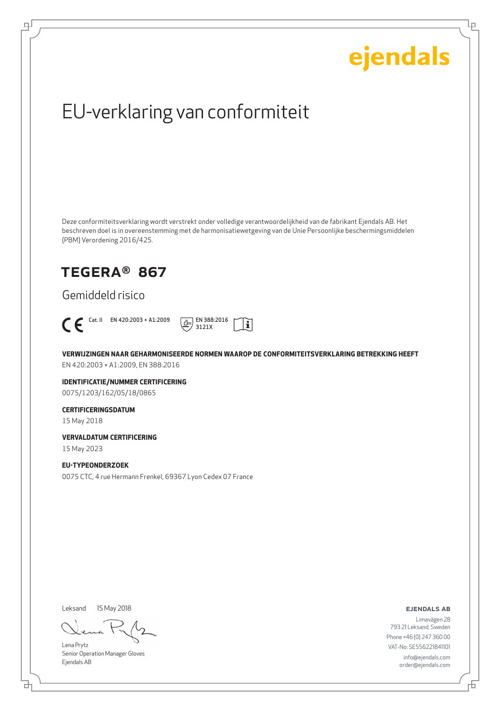Ļμ

## EU-verklaring van conformiteit

Deze conformiteitsverklaring wordt verstrekt onder volledige verantwoordelijkheid van de fabrikant Ejendals AB. Het beschreven doel is in overeenstemming met de harmonisatiewetgeving van de Unie Persoonlijke beschermingsmiddelen (PBM) Verordening 2016/425.

### TEGERA® 867

Gemiddeld risico



டி



**VERWIJZINGEN NAAR GEHARMONISEERDE NORMEN WAAROP DE CONFORMITEITSVERKLARING BETREKKING HEEFT** EN 420:2003 + A1:2009, EN 388:2016

**IDENTIFICATIE/NUMMER CERTIFICERING** 0075/1203/162/05/18/0865

#### **CERTIFICERINGSDATUM**

15 May 2018

**VERVALDATUM CERTIFICERING**

15 May 2023

#### **EU-TYPEONDERZOEK**

0075 CTC, 4 rue Hermann Frenkel, 69367 Lyon Cedex 07 France

Leksand

15 May 2018

Lena Prytz Senior Operation Manager Gloves Ejendals AB

ejendals ab

브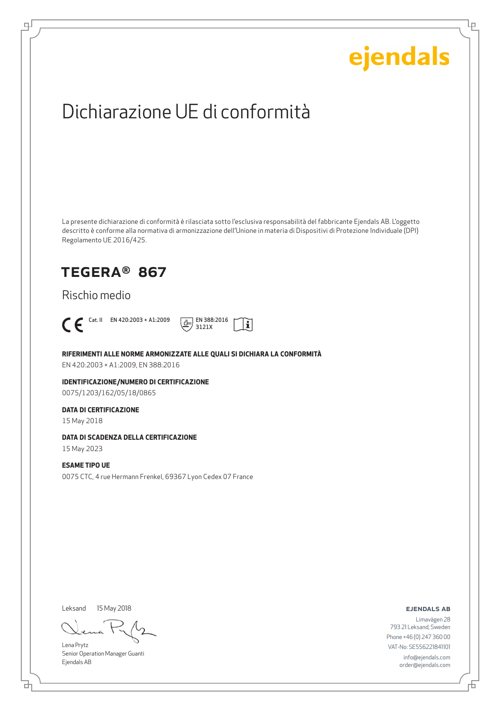Lρ

## Dichiarazione UE di conformità

La presente dichiarazione di conformità è rilasciata sotto l'esclusiva responsabilità del fabbricante Ejendals AB. L'oggetto descritto è conforme alla normativa di armonizzazione dell'Unione in materia di Dispositivi di Protezione Individuale (DPI) Regolamento UE 2016/425.

### TEGERA® 867

Rischio medio



டி



**RIFERIMENTI ALLE NORME ARMONIZZATE ALLE QUALI SI DICHIARA LA CONFORMITÀ**

EN 420:2003 + A1:2009, EN 388:2016

**IDENTIFICAZIONE/NUMERO DI CERTIFICAZIONE** 0075/1203/162/05/18/0865

#### **DATA DI CERTIFICAZIONE**

15 May 2018

#### **DATA DI SCADENZA DELLA CERTIFICAZIONE**

15 May 2023

#### **ESAME TIPO UE**

0075 CTC, 4 rue Hermann Frenkel, 69367 Lyon Cedex 07 France

Leksand

15 May 2018

Lena Prytz Senior Operation Manager Guanti Ejendals AB

ejendals ab

Limavägen 28 793 21 Leksand, Sweden Phone +46 (0) 247 360 00 VAT-No: SE556221841101 info@ejendals.com order@ejendals.com

브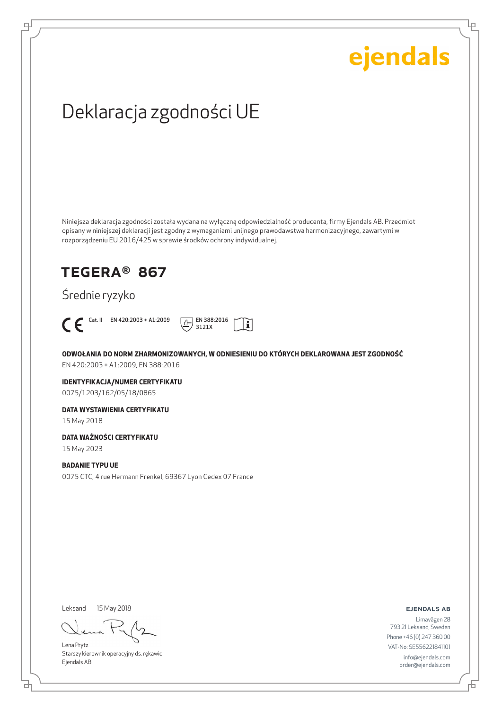Lρ

## Deklaracja zgodności UE

Niniejsza deklaracja zgodności została wydana na wyłączną odpowiedzialność producenta, firmy Ejendals AB. Przedmiot opisany w niniejszej deklaracji jest zgodny z wymaganiami unijnego prawodawstwa harmonizacyjnego, zawartymi w rozporządzeniu EU 2016/425 w sprawie środków ochrony indywidualnej.

### TEGERA® 867

### Średnie ryzyko



ψ



**ODWOŁANIA DO NORM ZHARMONIZOWANYCH, W ODNIESIENIU DO KTÓRYCH DEKLAROWANA JEST ZGODNOŚĆ** EN 420:2003 + A1:2009, EN 388:2016

**IDENTYFIKACJA/NUMER CERTYFIKATU** 0075/1203/162/05/18/0865

#### **DATA WYSTAWIENIA CERTYFIKATU**

15 May 2018

#### **DATA WAŻNOŚCI CERTYFIKATU**

15 May 2023

#### **BADANIE TYPU UE**

0075 CTC, 4 rue Hermann Frenkel, 69367 Lyon Cedex 07 France

Leksand 15 May 2018

브

Lena Prytz Starszy kierownik operacyjny ds. rękawic Ejendals AB

ejendals ab

Đ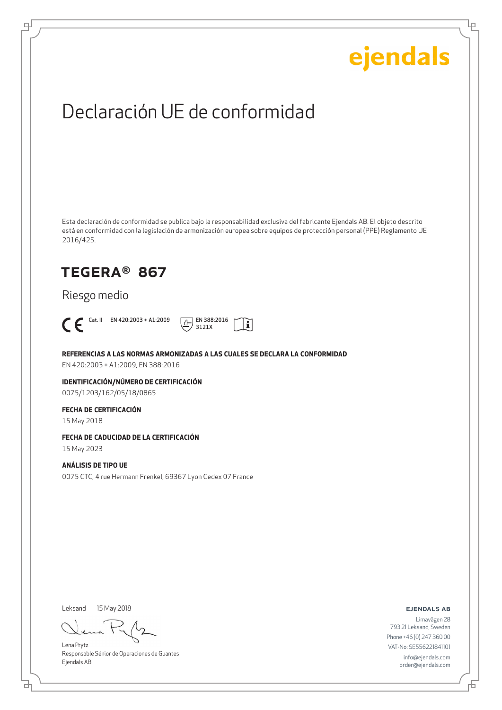Lρ

## Declaración UE de conformidad

Esta declaración de conformidad se publica bajo la responsabilidad exclusiva del fabricante Ejendals AB. El objeto descrito está en conformidad con la legislación de armonización europea sobre equipos de protección personal (PPE) Reglamento UE 2016/425.

### TEGERA® 867

Riesgo medio



டி



**REFERENCIAS A LAS NORMAS ARMONIZADAS A LAS CUALES SE DECLARA LA CONFORMIDAD**

EN 420:2003 + A1:2009, EN 388:2016

**IDENTIFICACIÓN/NÚMERO DE CERTIFICACIÓN** 0075/1203/162/05/18/0865

#### **FECHA DE CERTIFICACIÓN**

15 May 2018

#### **FECHA DE CADUCIDAD DE LA CERTIFICACIÓN**

15 May 2023

#### **ANÁLISIS DE TIPO UE**

0075 CTC, 4 rue Hermann Frenkel, 69367 Lyon Cedex 07 France

Leksand 15 May 2018

Lena Prytz Responsable Sénior de Operaciones de Guantes Ejendals AB

#### ejendals ab

Đ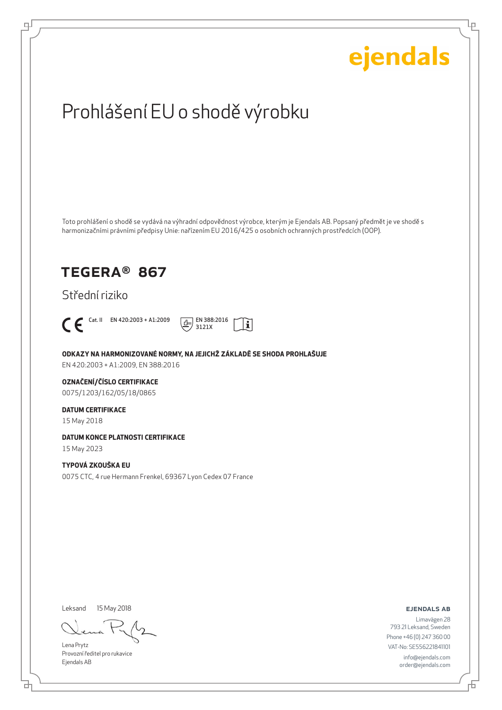Ļμ

## Prohlášení EU o shodě výrobku

Toto prohlášení o shodě se vydává na výhradní odpovědnost výrobce, kterým je Ejendals AB. Popsaný předmět je ve shodě s harmonizačními právními předpisy Unie: nařízením EU 2016/425 o osobních ochranných prostředcích (OOP).

### TEGERA® 867

Střední riziko



டி



**ODKAZY NA HARMONIZOVANÉ NORMY, NA JEJICHŽ ZÁKLADĚ SE SHODA PROHLAŠUJE**

EN 420:2003 + A1:2009, EN 388:2016

#### **OZNAČENÍ/ČÍSLO CERTIFIKACE**

0075/1203/162/05/18/0865

#### **DATUM CERTIFIKACE**

15 May 2018

#### **DATUM KONCE PLATNOSTI CERTIFIKACE**

15 May 2023

#### **TYPOVÁ ZKOUŠKA EU**

0075 CTC, 4 rue Hermann Frenkel, 69367 Lyon Cedex 07 France

Leksand

15 May 2018

Lena Prytz Provozní ředitel pro rukavice Ejendals AB

#### ejendals ab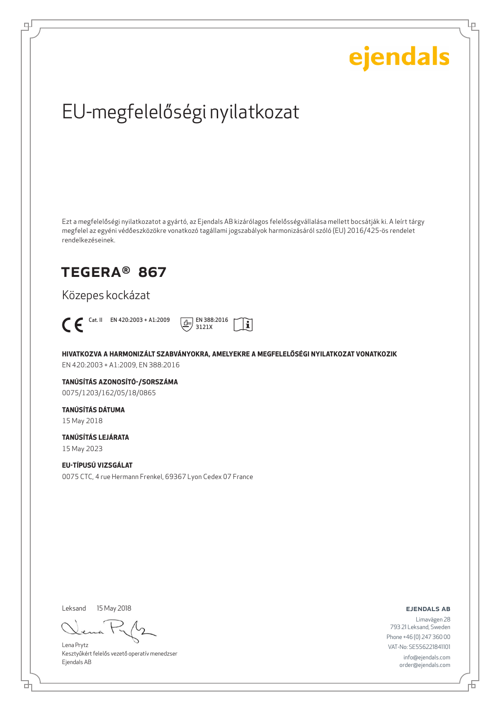Ļμ

## EU-megfelelőségi nyilatkozat

Ezt a megfelelőségi nyilatkozatot a gyártó, az Ejendals AB kizárólagos felelősségvállalása mellett bocsátják ki. A leírt tárgy megfelel az egyéni védőeszközökre vonatkozó tagállami jogszabályok harmonizásáról szóló (EU) 2016/425-ös rendelet rendelkezéseinek.

### TEGERA® 867

Közepes kockázat



டி



**HIVATKOZVA A HARMONIZÁLT SZABVÁNYOKRA, AMELYEKRE A MEGFELELŐSÉGI NYILATKOZAT VONATKOZIK** EN 420:2003 + A1:2009, EN 388:2016

**TANÚSÍTÁS AZONOSÍTÓ-/SORSZÁMA** 0075/1203/162/05/18/0865

### **TANÚSÍTÁS DÁTUMA**

15 May 2018

#### **TANÚSÍTÁS LEJÁRATA**

15 May 2023

#### **EU-TÍPUSÚ VIZSGÁLAT**

0075 CTC, 4 rue Hermann Frenkel, 69367 Lyon Cedex 07 France

Leksand 15 May 2018

Lena Prytz Kesztyűkért felelős vezető operatív menedzser Ejendals AB

ejendals ab

Limavägen 28 793 21 Leksand, Sweden Phone +46 (0) 247 360 00 VAT-No: SE556221841101 info@ejendals.com order@ejendals.com

₫

Đ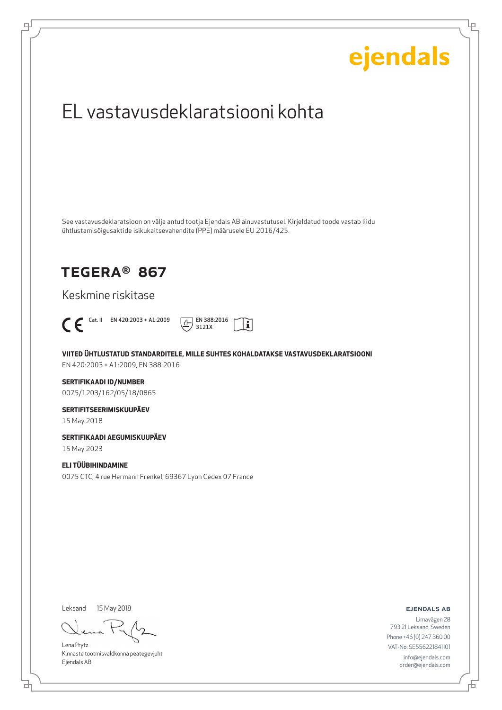## ejendals EL vastavusdeklaratsiooni kohta See vastavusdeklaratsioon on välja antud tootja Ejendals AB ainuvastutusel. Kirjeldatud toode vastab liidu ühtlustamisõigusaktide isikukaitsevahendite (PPE) määrusele EU 2016/425. TEGERA® 867 Keskmine riskitase  $\bigcap$  Cat. II EN 420:2003 + A1:2009  $\boxed{\underline{d}}$  EN 388:2016  $|\tilde{\mathbf{i}}|$ 3121X **VIITED ÜHTLUSTATUD STANDARDITELE, MILLE SUHTES KOHALDATAKSE VASTAVUSDEKLARATSIOONI** EN 420:2003 + A1:2009, EN 388:2016 **SERTIFIKAADI ID/NUMBER** 0075/1203/162/05/18/0865 **SERTIFITSEERIMISKUUPÄEV** 15 May 2018 **SERTIFIKAADI AEGUMISKUUPÄEV** 15 May 2023 **ELI TÜÜBIHINDAMINE** 0075 CTC, 4 rue Hermann Frenkel, 69367 Lyon Cedex 07 France Leksand 15 May 2018ejendals ab Limavägen 28 793 21 Leksand, Sweden Phone +46 (0) 247 360 00 Lena Prytz

Kinnaste tootmisvaldkonna peategevjuht Ejendals AB

브

டி

VAT-No: SE556221841101 info@ejendals.com order@ejendals.com

Ļμ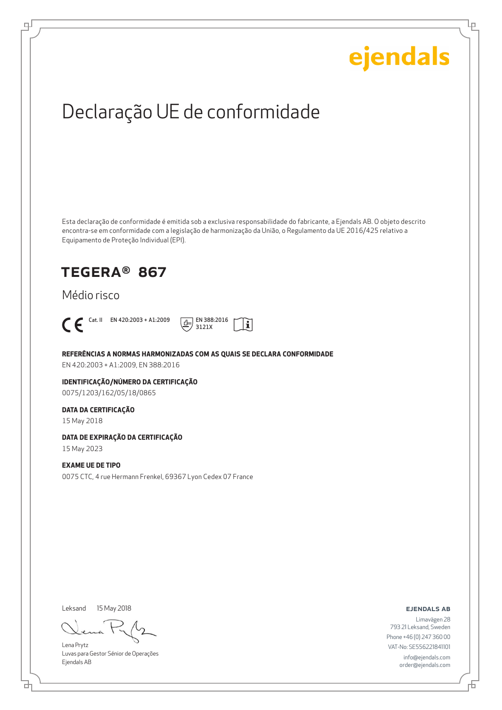Ļμ

## Declaração UE de conformidade

Esta declaração de conformidade é emitida sob a exclusiva responsabilidade do fabricante, a Ejendals AB. O objeto descrito encontra-se em conformidade com a legislação de harmonização da União, o Regulamento da UE 2016/425 relativo a Equipamento de Proteção Individual (EPI).

i.

### TEGERA® 867

#### Médio risco



ψ



#### **REFERÊNCIAS A NORMAS HARMONIZADAS COM AS QUAIS SE DECLARA CONFORMIDADE**

EN 420:2003 + A1:2009, EN 388:2016

#### **IDENTIFICAÇÃO/NÚMERO DA CERTIFICAÇÃO** 0075/1203/162/05/18/0865

#### **DATA DA CERTIFICAÇÃO**

15 May 2018

#### **DATA DE EXPIRAÇÃO DA CERTIFICAÇÃO**

15 May 2023

#### **EXAME UE DE TIPO**

0075 CTC, 4 rue Hermann Frenkel, 69367 Lyon Cedex 07 France

Leksand 15 May 2018

Lena Prytz Luvas para Gestor Sénior de Operações Ejendals AB

ejendals ab

Limavägen 28 793 21 Leksand, Sweden Phone +46 (0) 247 360 00 VAT-No: SE556221841101 info@ejendals.com order@ejendals.com

Б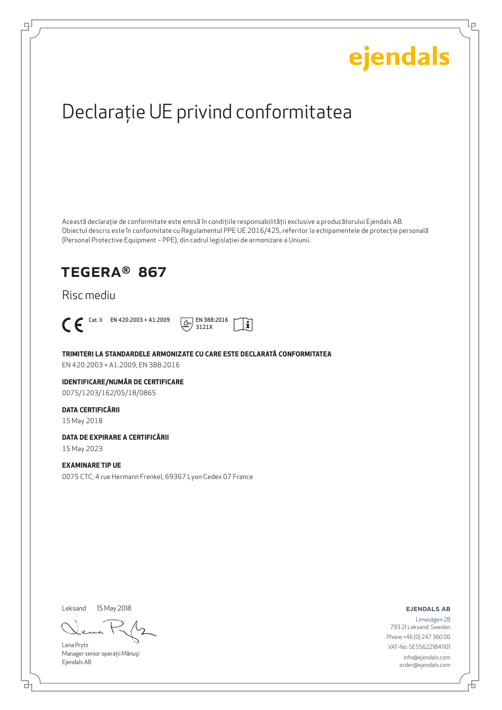Ļμ

## Declaraţie UE privind conformitatea

Această declaraţie de conformitate este emisă în condiţiile responsabilităţii exclusive a producătorului Ejendals AB. Obiectul descris este în conformitate cu Regulamentul PPE UE 2016/425, referitor la echipamentele de protecţie personală (Personal Protective Equipment – PPE), din cadrul legislaţiei de armonizare a Uniunii.

### TEGERA® 867

#### Risc mediu



டி



**TRIMITERI LA STANDARDELE ARMONIZATE CU CARE ESTE DECLARATĂ CONFORMITATEA**

EN 420:2003 + A1:2009, EN 388:2016

#### **IDENTIFICARE/NUMĂR DE CERTIFICARE**

0075/1203/162/05/18/0865

#### **DATA CERTIFICĂRII**

15 May 2018

#### **DATA DE EXPIRARE A CERTIFICĂRII**

15 May 2023

#### **EXAMINARE TIP UE**

0075 CTC, 4 rue Hermann Frenkel, 69367 Lyon Cedex 07 France

Leksand

15 May 2018

Lena Prytz Manager senior operatii Mănuși Ejendals AB

ejendals ab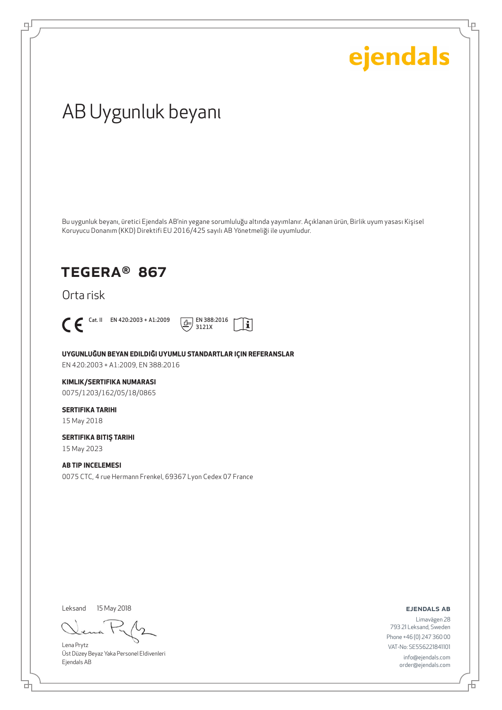Ļρ

## AB Uygunluk beyanı

Bu uygunluk beyanı, üretici Ejendals AB'nin yegane sorumluluğu altında yayımlanır. Açıklanan ürün, Birlik uyum yasası Kişisel Koruyucu Donanım (KKD) Direktifi EU 2016/425 sayılı AB Yönetmeliği ile uyumludur.

ļĩ

### TEGERA® 867

Orta risk



டி



**UYGUNLUĞUN BEYAN EDILDIĞI UYUMLU STANDARTLAR IÇIN REFERANSLAR** EN 420:2003 + A1:2009, EN 388:2016

#### **KIMLIK/SERTIFIKA NUMARASI**

0075/1203/162/05/18/0865

### **SERTIFIKA TARIHI**

15 May 2018

#### **SERTIFIKA BITIŞ TARIHI** 15 May 2023

**AB TIP INCELEMESI** 0075 CTC, 4 rue Hermann Frenkel, 69367 Lyon Cedex 07 France

Leksand 15 May 2018

브

Lena Prytz Üst Düzey Beyaz Yaka Personel Eldivenleri Ejendals AB

#### ejendals ab

舌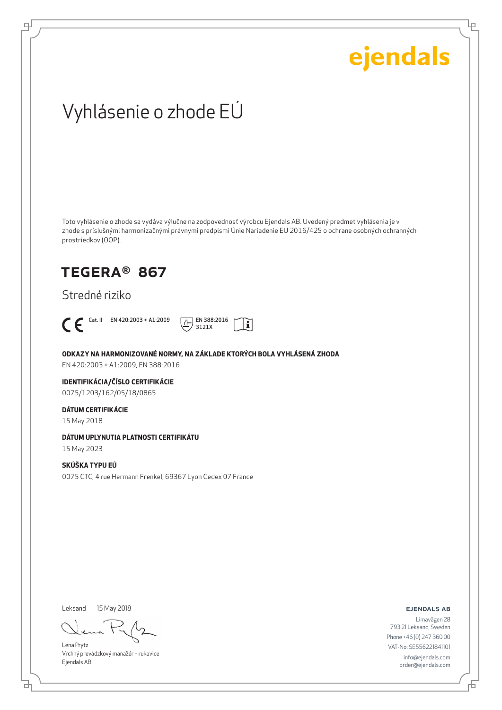Lρ

## Vyhlásenie o zhode EÚ

Toto vyhlásenie o zhode sa vydáva výlučne na zodpovednosť výrobcu Ejendals AB. Uvedený predmet vyhlásenia je v zhode s príslušnými harmonizačnými právnymi predpismi Únie Nariadenie EÚ 2016/425 o ochrane osobných ochranných prostriedkov (OOP).

### TEGERA® 867

Stredné riziko



டி



#### **ODKAZY NA HARMONIZOVANÉ NORMY, NA ZÁKLADE KTORÝCH BOLA VYHLÁSENÁ ZHODA**

EN 420:2003 + A1:2009, EN 388:2016

#### **IDENTIFIKÁCIA/ČÍSLO CERTIFIKÁCIE**

0075/1203/162/05/18/0865

#### **DÁTUM CERTIFIKÁCIE**

15 May 2018

#### **DÁTUM UPLYNUTIA PLATNOSTI CERTIFIKÁTU**

15 May 2023

#### **SKÚŠKA TYPU EÚ**

0075 CTC, 4 rue Hermann Frenkel, 69367 Lyon Cedex 07 France

Leksand 15 May 2018

Lena Prytz Vrchný prevádzkový manažér – rukavice Ejendals AB

#### ejendals ab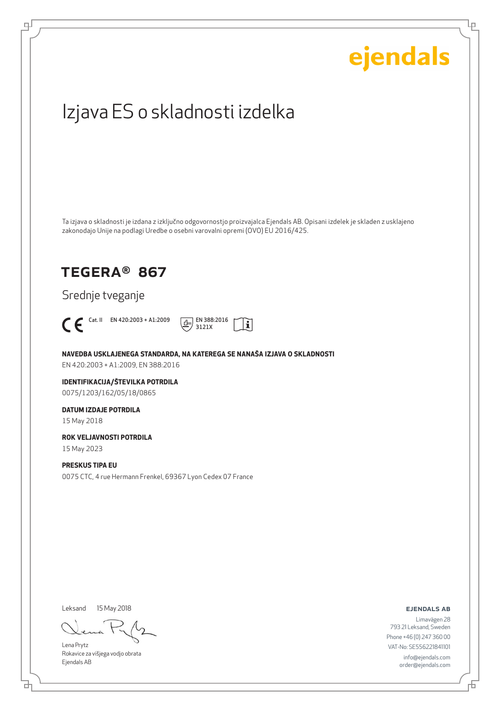# ejendals Izjava ES o skladnosti izdelka Ta izjava o skladnosti je izdana z izključno odgovornostjo proizvajalca Ejendals AB. Opisani izdelek je skladen z usklajeno zakonodajo Unije na podlagi Uredbe o osebni varovalni opremi (OVO) EU 2016/425. TEGERA® 867 Srednje tveganje  $\bigcap_{3121X}$  Cat. II EN 420:2003 + A1:2009  $\frac{1}{\sqrt{1}}$  EN 388:2016  $|\tilde{\mathbf{i}}|$ 3121X **NAVEDBA USKLAJENEGA STANDARDA, NA KATEREGA SE NANAŠA IZJAVA O SKLADNOSTI** EN 420:2003 + A1:2009, EN 388:2016 **IDENTIFIKACIJA/ŠTEVILKA POTRDILA** 0075/1203/162/05/18/0865 **DATUM IZDAJE POTRDILA** 15 May 2018 **ROK VELJAVNOSTI POTRDILA** 15 May 2023 **PRESKUS TIPA EU** 0075 CTC, 4 rue Hermann Frenkel, 69367 Lyon Cedex 07 France

Leksand 15 May 2018

브

டி

Lena Prytz Rokavice za višjega vodjo obrata Ejendals AB

ejendals ab

Ļμ

Limavägen 28 793 21 Leksand, Sweden Phone +46 (0) 247 360 00 VAT-No: SE556221841101 info@ejendals.com order@ejendals.com

舌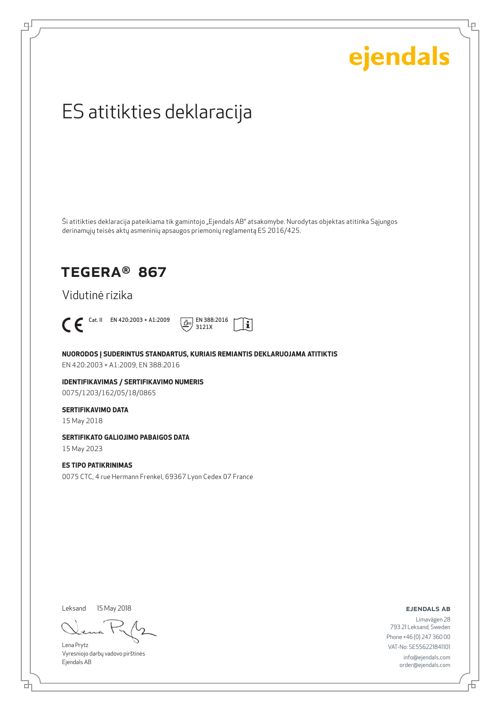Ļμ

## ES atitikties deklaracija

Ši atitikties deklaracija pateikiama tik gamintojo "Ejendals AB" atsakomybe. Nurodytas objektas atitinka Sąjungos derinamųjų teisės aktų asmeninių apsaugos priemonių reglamentą ES 2016/425.

### TEGERA® 867

Vidutinė rizika



டி



**NUORODOS Į SUDERINTUS STANDARTUS, KURIAIS REMIANTIS DEKLARUOJAMA ATITIKTIS** EN 420:2003 + A1:2009, EN 388:2016

**IDENTIFIKAVIMAS / SERTIFIKAVIMO NUMERIS** 0075/1203/162/05/18/0865

#### **SERTIFIKAVIMO DATA**

15 May 2018

#### **SERTIFIKATO GALIOJIMO PABAIGOS DATA**

15 May 2023

#### **ES TIPO PATIKRINIMAS**

0075 CTC, 4 rue Hermann Frenkel, 69367 Lyon Cedex 07 France

Leksand

15 May 2018

Lena Prytz Vyresniojo darbų vadovo pirštinės Ejendals AB

ejendals ab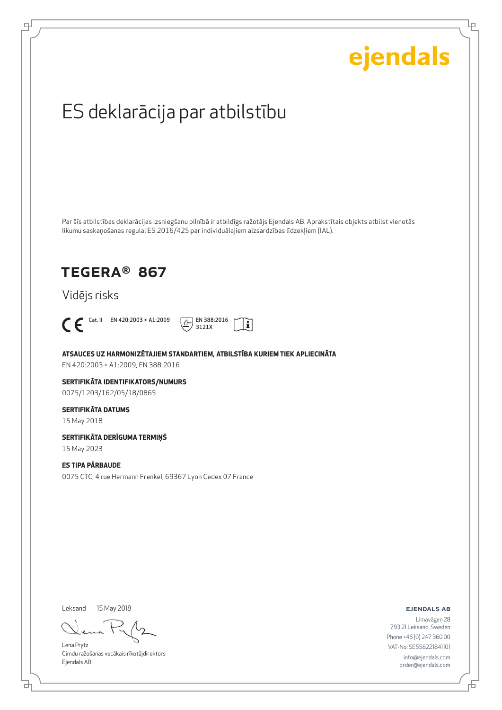Lρ

## ES deklarācija par atbilstību

Par šīs atbilstības deklarācijas izsniegšanu pilnībā ir atbildīgs ražotājs Ejendals AB. Aprakstītais objekts atbilst vienotās likumu saskaņošanas regulai ES 2016/425 par individuālajiem aizsardzības līdzekļiem (IAL).

### TEGERA® 867

Vidējs risks



டி



**ATSAUCES UZ HARMONIZĒTAJIEM STANDARTIEM, ATBILSTĪBA KURIEM TIEK APLIECINĀTA**

EN 420:2003 + A1:2009, EN 388:2016

#### **SERTIFIKĀTA IDENTIFIKATORS/NUMURS** 0075/1203/162/05/18/0865

**SERTIFIKĀTA DATUMS**

15 May 2018

#### **SERTIFIKĀTA DERĪGUMA TERMIŅŠ**

15 May 2023

#### **ES TIPA PĀRBAUDE**

0075 CTC, 4 rue Hermann Frenkel, 69367 Lyon Cedex 07 France

Leksand 15 May 2018

Lena Prytz Cimdu ražošanas vecākais rīkotājdirektors Ejendals AB

ejendals ab

Limavägen 28 793 21 Leksand, Sweden Phone +46 (0) 247 360 00 VAT-No: SE556221841101 info@ejendals.com order@ejendals.com

Đ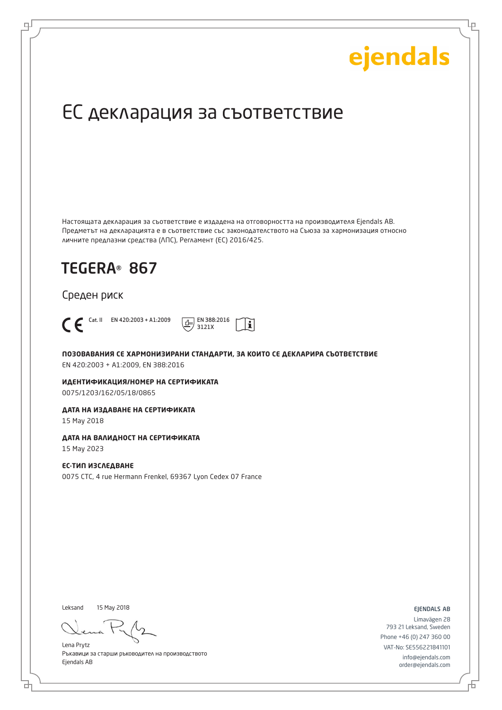Ļμ

## ЕС декларация за съответствие

Настоящата декларация за съответствие е издадена на отговорността на производителя Ejendals AB. Предметът на декларацията е в съответствие със законодателството на Съюза за хармонизация относно личните предпазни средства (ЛПС), Регламент (ЕС) 2016/425.

 $\mathbf i$ 

## TEGERA® 867

#### Среден риск



டி

Cat. II EN 420:2003 + A1:2009  $\boxed{+}$  EN 388:2016 3121X

**ПОЗОВАВАНИЯ СЕ ХАРМОНИЗИРАНИ СТАНДАРТИ, ЗА КОИТО СЕ ДЕКЛАРИРА СЪОТВЕТСТВИЕ** EN 420:2003 + A1:2009, EN 388:2016

**ИДЕНТИФИКАЦИЯ/НОМЕР НА СЕРТИФИКАТА** 0075/1203/162/05/18/0865

#### **ДАТА НА ИЗДАВАНЕ НА СЕРТИФИКАТА**

15 May 2018

#### **ДАТА НА ВАЛИДНОСТ НА СЕРТИФИКАТА**

15 May 2023

#### **ЕС-ТИП ИЗСЛЕДВАНЕ**

0075 CTC, 4 rue Hermann Frenkel, 69367 Lyon Cedex 07 France

Leksand 15 May 2018

Lena Prytz Ръкавици за старши ръководител на производството Ejendals AB

ejendals ab

Limavägen 28 793 21 Leksand, Sweden Phone +46 (0) 247 360 00 VAT-No: SE556221841101 info@ejendals.com order@ejendals.com

Б